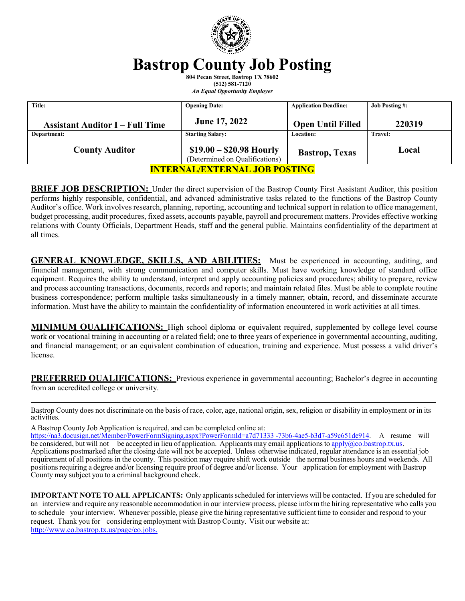

# **Bastrop County Job Posting**

**804 Pecan Street, Bastrop TX 78602 (512) 581-7120** *An Equal Opportunity Employer*

| Title:                                 | <b>Opening Date:</b>                                       | <b>Application Deadline:</b> | <b>Job Posting #:</b> |
|----------------------------------------|------------------------------------------------------------|------------------------------|-----------------------|
| <b>Assistant Auditor I – Full Time</b> | June 17, 2022                                              | <b>Open Until Filled</b>     | 220319                |
| Department:                            | <b>Starting Salary:</b>                                    | <b>Location:</b>             | <b>Travel:</b>        |
| <b>County Auditor</b>                  | $$19.00 - $20.98$ Hourly<br>(Determined on Qualifications) | <b>Bastrop</b> , Texas       | Local                 |
| <b>INTERNAL/EXTERNAL JOB POSTING</b>   |                                                            |                              |                       |

**BRIEF JOB DESCRIPTION:** Under the direct supervision of the Bastrop County First Assistant Auditor, this position performs highly responsible, confidential, and advanced administrative tasks related to the functions of the Bastrop County Auditor's office. Work involves research, planning, reporting, accounting and technical support in relation to office management, budget processing, audit procedures, fixed assets, accounts payable, payroll and procurement matters. Provides effective working relations with County Officials, Department Heads, staff and the general public. Maintains confidentiality of the department at all times.

**GENERAL KNOWLEDGE, SKILLS, AND ABILITIES:** Must be experienced in accounting, auditing, and financial management, with strong communication and computer skills. Must have working knowledge of standard office equipment. Requires the ability to understand, interpret and apply accounting policies and procedures; ability to prepare, review and process accounting transactions, documents, records and reports; and maintain related files. Must be able to complete routine business correspondence; perform multiple tasks simultaneously in a timely manner; obtain, record, and disseminate accurate information. Must have the ability to maintain the confidentiality of information encountered in work activities at all times.

**MINIMUM QUALIFICATIONS:** High school diploma or equivalent required, supplemented by college level course work or vocational training in accounting or a related field; one to three years of experience in governmental accounting, auditing, and financial management; or an equivalent combination of education, training and experience. Must possess a valid driver's license.

**PREFERRED OUALIFICATIONS:** Previous experience in governmental accounting; Bachelor's degree in accounting from an accredited college or university.

Bastrop County does not discriminate on the basis of race, color, age, national origin, sex, religion or disability in employment or in its activities.

A Bastrop County Job Application is required, and can be completed online at:

[https://na3.docusign.net/Member/PowerFormSigning.aspx?PowerFormId=a7d71333](https://na3.docusign.net/Member/PowerFormSigning.aspx?PowerFormId=a7d71333-73b6-4ae5-b3d7-a59c651de914) -73b6-4ae5-b3d7-a59c651de914. A resume will be considered, but will not be accepted in lieu of application. Applicants may email applications to [apply@co.bastrop.tx.us.](mailto:apply@co.bastrop.tx.us) Applications postmarked after the closing date will not be accepted. Unless otherwise indicated, regular attendance is an essential job requirement of all positions in the county. This position may require shift work outside the normal business hours and weekends. All positionsrequiring a degree and/or licensing require proof of degree and/or license. Your application for employment with Bastrop County may subject you to a criminal background check.

**IMPORTANT NOTE TO ALL APPLICANTS:** Only applicants scheduled for interviews will be contacted. If you are scheduled for an interview and require any reasonable accommodation in our interview process, please inform the hiring representative who calls you to schedule your interview. Whenever possible, please give the hiring representative sufficient time to consider and respond to your request. Thank you for considering employment with Bastrop County. Visit our website at: [http://www.co.bastrop.tx.us/page/co.jobs.](http://www.co.bastrop.tx.us/page/co.jobs)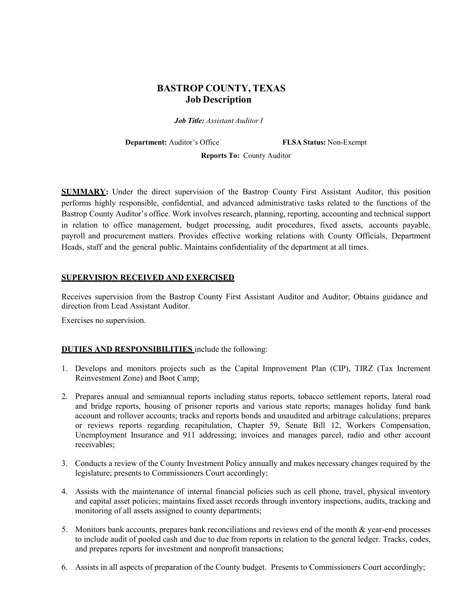## **BASTROP COUNTY, TEXAS Job Description**

*Job Title: Assistant Auditor I*

**Department:** Auditor's Office **FLSA Status:** Non-Exempt

**Reports To:** County Auditor

**SUMMARY:** Under the direct supervision of the Bastrop County First Assistant Auditor, this position performs highly responsible, confidential, and advanced administrative tasks related to the functions of the Bastrop County Auditor's office. Work involves research, planning, reporting, accounting and technical support in relation to office management, budget processing, audit procedures, fixed assets, accounts payable, payroll and procurement matters. Provides effective working relations with County Officials, Department Heads, staff and the general public. Maintains confidentiality of the department at all times.

#### **SUPERVISION RECEIVED AND EXERCISED**

Receives supervision from the Bastrop County First Assistant Auditor and Auditor; Obtains guidance and direction from Lead Assistant Auditor.

Exercises no supervision.

### **DUTIES AND RESPONSIBILITIES** include the following:

- 1. Develops and monitors projects such as the Capital Improvement Plan (CIP), TIRZ (Tax Increment Reinvestment Zone) and Boot Camp;
- 2. Prepares annual and semiannual reports including status reports, tobacco settlement reports, lateral road and bridge reports, housing of prisoner reports and various state reports; manages holiday fund bank account and rollover accounts; tracks and reports bonds and unaudited and arbitrage calculations; prepares or reviews reports regarding recapitulation, Chapter 59, Senate Bill 12, Workers Compensation, Unemployment Insurance and 911 addressing; invoices and manages parcel, radio and other account receivables;
- 3. Conducts a review of the County Investment Policy annually and makes necessary changes required by the legislature; presents to Commissioners Court accordingly;
- 4. Assists with the maintenance of internal financial policies such as cell phone, travel, physical inventory and capital asset policies; maintains fixed asset records through inventory inspections, audits, tracking and monitoring of all assets assigned to county departments;
- 5. Monitors bank accounts, prepares bank reconciliations and reviews end of the month & year-end processes to include audit of pooled cash and due to due from reports in relation to the general ledger. Tracks, codes, and prepares reports for investment and nonprofit transactions;
- 6. Assists in all aspects of preparation of the County budget. Presents to Commissioners Court accordingly;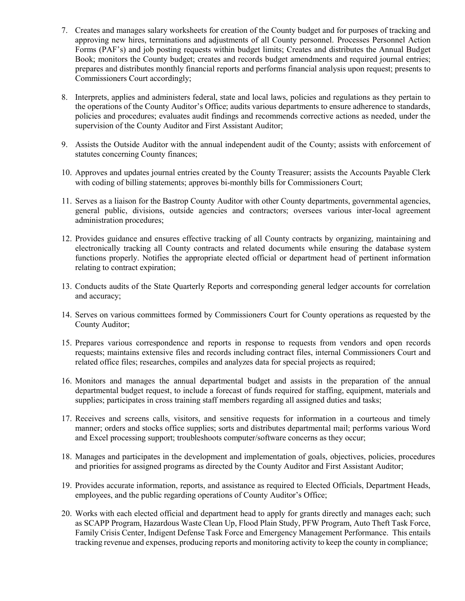- 7. Creates and manages salary worksheets for creation of the County budget and for purposes of tracking and approving new hires, terminations and adjustments of all County personnel. Processes Personnel Action Forms (PAF's) and job posting requests within budget limits; Creates and distributes the Annual Budget Book; monitors the County budget; creates and records budget amendments and required journal entries; prepares and distributes monthly financial reports and performs financial analysis upon request; presents to Commissioners Court accordingly;
- 8. Interprets, applies and administers federal, state and local laws, policies and regulations as they pertain to the operations of the County Auditor's Office; audits various departments to ensure adherence to standards, policies and procedures; evaluates audit findings and recommends corrective actions as needed, under the supervision of the County Auditor and First Assistant Auditor;
- 9. Assists the Outside Auditor with the annual independent audit of the County; assists with enforcement of statutes concerning County finances;
- 10. Approves and updates journal entries created by the County Treasurer; assists the Accounts Payable Clerk with coding of billing statements; approves bi-monthly bills for Commissioners Court;
- 11. Serves as a liaison for the Bastrop County Auditor with other County departments, governmental agencies, general public, divisions, outside agencies and contractors; oversees various inter-local agreement administration procedures;
- 12. Provides guidance and ensures effective tracking of all County contracts by organizing, maintaining and electronically tracking all County contracts and related documents while ensuring the database system functions properly. Notifies the appropriate elected official or department head of pertinent information relating to contract expiration;
- 13. Conducts audits of the State Quarterly Reports and corresponding general ledger accounts for correlation and accuracy;
- 14. Serves on various committees formed by Commissioners Court for County operations as requested by the County Auditor;
- 15. Prepares various correspondence and reports in response to requests from vendors and open records requests; maintains extensive files and records including contract files, internal Commissioners Court and related office files; researches, compiles and analyzes data for special projects as required;
- 16. Monitors and manages the annual departmental budget and assists in the preparation of the annual departmental budget request, to include a forecast of funds required for staffing, equipment, materials and supplies; participates in cross training staff members regarding all assigned duties and tasks;
- 17. Receives and screens calls, visitors, and sensitive requests for information in a courteous and timely manner; orders and stocks office supplies; sorts and distributes departmental mail; performs various Word and Excel processing support; troubleshoots computer/software concerns as they occur;
- 18. Manages and participates in the development and implementation of goals, objectives, policies, procedures and priorities for assigned programs as directed by the County Auditor and First Assistant Auditor;
- 19. Provides accurate information, reports, and assistance as required to Elected Officials, Department Heads, employees, and the public regarding operations of County Auditor's Office;
- 20. Works with each elected official and department head to apply for grants directly and manages each; such as SCAPP Program, Hazardous Waste Clean Up, Flood Plain Study, PFW Program, Auto Theft Task Force, Family Crisis Center, Indigent Defense Task Force and Emergency Management Performance. This entails tracking revenue and expenses, producing reports and monitoring activity to keep the county in compliance;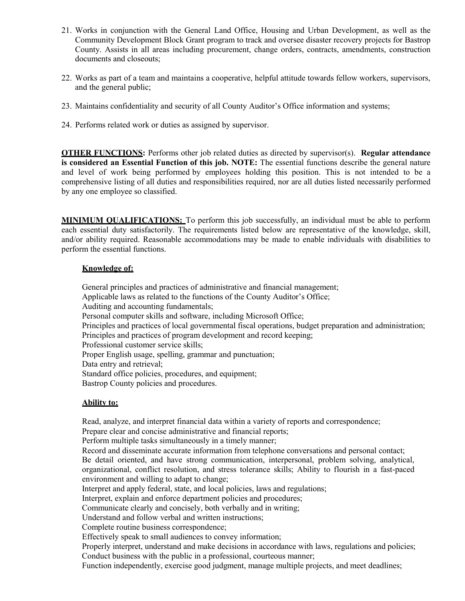- 21. Works in conjunction with the General Land Office, Housing and Urban Development, as well as the Community Development Block Grant program to track and oversee disaster recovery projects for Bastrop County. Assists in all areas including procurement, change orders, contracts, amendments, construction documents and closeouts;
- 22. Works as part of a team and maintains a cooperative, helpful attitude towards fellow workers, supervisors, and the general public;
- 23. Maintains confidentiality and security of all County Auditor's Office information and systems;
- 24. Performs related work or duties as assigned by supervisor.

**OTHER FUNCTIONS:** Performs other job related duties as directed by supervisor(s). **Regular attendance is considered an Essential Function of this job. NOTE:** The essential functions describe the general nature and level of work being performed by employees holding this position. This is not intended to be a comprehensive listing of all duties and responsibilities required, nor are all duties listed necessarily performed by any one employee so classified.

**MINIMUM QUALIFICATIONS:** To perform this job successfully, an individual must be able to perform each essential duty satisfactorily. The requirements listed below are representative of the knowledge, skill, and/or ability required. Reasonable accommodations may be made to enable individuals with disabilities to perform the essential functions.

#### **Knowledge of:**

General principles and practices of administrative and financial management; Applicable laws as related to the functions of the County Auditor's Office; Auditing and accounting fundamentals; Personal computer skills and software, including Microsoft Office; Principles and practices of local governmental fiscal operations, budget preparation and administration; Principles and practices of program development and record keeping; Professional customer service skills; Proper English usage, spelling, grammar and punctuation; Data entry and retrieval; Standard office policies, procedures, and equipment; Bastrop County policies and procedures.

#### **Ability to:**

Read, analyze, and interpret financial data within a variety of reports and correspondence; Prepare clear and concise administrative and financial reports; Perform multiple tasks simultaneously in a timely manner; Record and disseminate accurate information from telephone conversations and personal contact; Be detail oriented, and have strong communication, interpersonal, problem solving, analytical, organizational, conflict resolution, and stress tolerance skills; Ability to flourish in a fast-paced environment and willing to adapt to change; Interpret and apply federal, state, and local policies, laws and regulations; Interpret, explain and enforce department policies and procedures; Communicate clearly and concisely, both verbally and in writing; Understand and follow verbal and written instructions; Complete routine business correspondence; Effectively speak to small audiences to convey information; Properly interpret, understand and make decisions in accordance with laws, regulations and policies; Conduct business with the public in a professional, courteous manner; Function independently, exercise good judgment, manage multiple projects, and meet deadlines;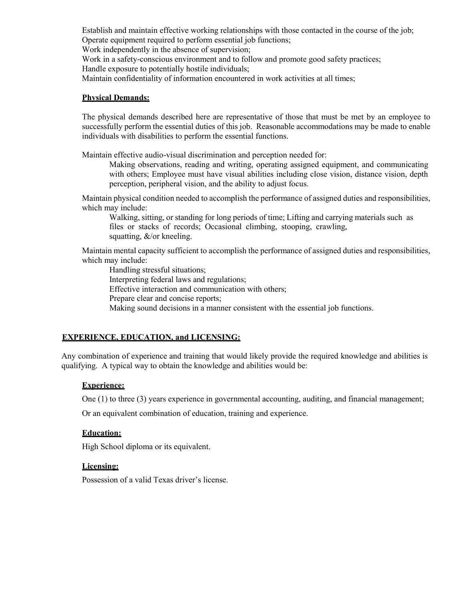Establish and maintain effective working relationships with those contacted in the course of the job; Operate equipment required to perform essential job functions;

Work independently in the absence of supervision;

Work in a safety-conscious environment and to follow and promote good safety practices;

Handle exposure to potentially hostile individuals;

Maintain confidentiality of information encountered in work activities at all times;

#### **Physical Demands:**

The physical demands described here are representative of those that must be met by an employee to successfully perform the essential duties of this job. Reasonable accommodations may be made to enable individuals with disabilities to perform the essential functions.

Maintain effective audio-visual discrimination and perception needed for:

Making observations, reading and writing, operating assigned equipment, and communicating with others; Employee must have visual abilities including close vision, distance vision, depth perception, peripheral vision, and the ability to adjust focus.

Maintain physical condition needed to accomplish the performance of assigned duties and responsibilities, which may include:

Walking, sitting, or standing for long periods of time; Lifting and carrying materials such as files or stacks of records; Occasional climbing, stooping, crawling, squatting, &/or kneeling.

Maintain mental capacity sufficient to accomplish the performance of assigned duties and responsibilities, which may include:

Handling stressful situations; Interpreting federal laws and regulations; Effective interaction and communication with others; Prepare clear and concise reports; Making sound decisions in a manner consistent with the essential job functions.

### **EXPERIENCE, EDUCATION, and LICENSING:**

Any combination of experience and training that would likely provide the required knowledge and abilities is qualifying. A typical way to obtain the knowledge and abilities would be:

### **Experience:**

One (1) to three (3) years experience in governmental accounting, auditing, and financial management;

Or an equivalent combination of education, training and experience.

### **Education:**

High School diploma or its equivalent.

#### **Licensing:**

Possession of a valid Texas driver's license.